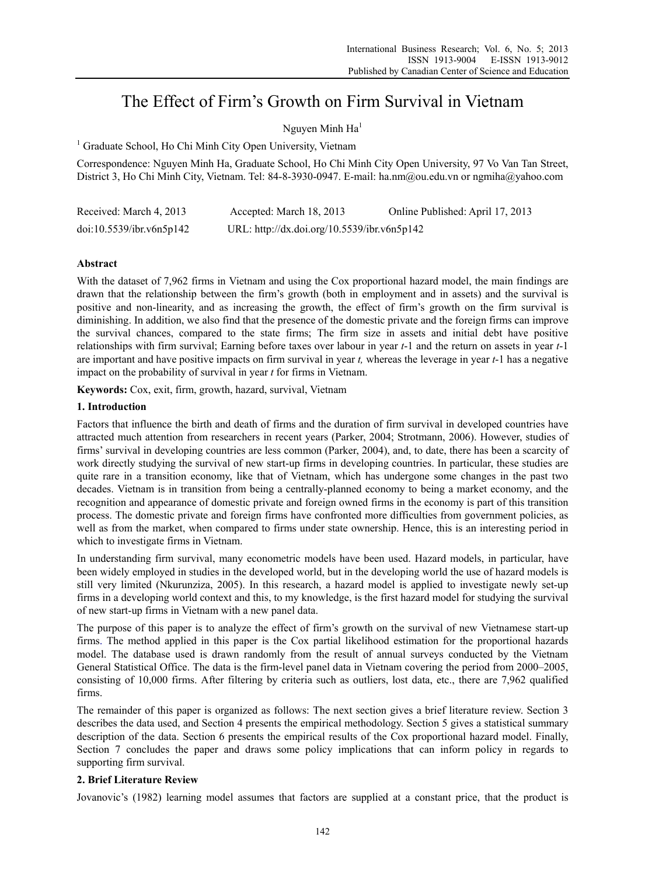# The Effect of Firm's Growth on Firm Survival in Vietnam

Nguyen Minh  $Ha<sup>1</sup>$ 

<sup>1</sup> Graduate School, Ho Chi Minh City Open University, Vietnam

Correspondence: Nguyen Minh Ha, Graduate School, Ho Chi Minh City Open University, 97 Vo Van Tan Street, District 3, Ho Chi Minh City, Vietnam. Tel: 84-8-3930-0947. E-mail: ha.nm@ou.edu.vn or ngmiha@yahoo.com

| Received: March 4, 2013  | Accepted: March 18, 2013                    | Online Published: April 17, 2013 |
|--------------------------|---------------------------------------------|----------------------------------|
| doi:10.5539/ibr.v6n5p142 | URL: http://dx.doi.org/10.5539/ibr.v6n5p142 |                                  |

# **Abstract**

With the dataset of 7,962 firms in Vietnam and using the Cox proportional hazard model, the main findings are drawn that the relationship between the firm's growth (both in employment and in assets) and the survival is positive and non-linearity, and as increasing the growth, the effect of firm's growth on the firm survival is diminishing. In addition, we also find that the presence of the domestic private and the foreign firms can improve the survival chances, compared to the state firms; The firm size in assets and initial debt have positive relationships with firm survival; Earning before taxes over labour in year *t*-1 and the return on assets in year *t*-1 are important and have positive impacts on firm survival in year *t,* whereas the leverage in year *t*-1 has a negative impact on the probability of survival in year *t* for firms in Vietnam.

**Keywords:** Cox, exit, firm, growth, hazard, survival, Vietnam

# **1. Introduction**

Factors that influence the birth and death of firms and the duration of firm survival in developed countries have attracted much attention from researchers in recent years (Parker, 2004; Strotmann, 2006). However, studies of firms' survival in developing countries are less common (Parker, 2004), and, to date, there has been a scarcity of work directly studying the survival of new start-up firms in developing countries. In particular, these studies are quite rare in a transition economy, like that of Vietnam, which has undergone some changes in the past two decades. Vietnam is in transition from being a centrally-planned economy to being a market economy, and the recognition and appearance of domestic private and foreign owned firms in the economy is part of this transition process. The domestic private and foreign firms have confronted more difficulties from government policies, as well as from the market, when compared to firms under state ownership. Hence, this is an interesting period in which to investigate firms in Vietnam.

In understanding firm survival, many econometric models have been used. Hazard models, in particular, have been widely employed in studies in the developed world, but in the developing world the use of hazard models is still very limited (Nkurunziza, 2005). In this research, a hazard model is applied to investigate newly set-up firms in a developing world context and this, to my knowledge, is the first hazard model for studying the survival of new start-up firms in Vietnam with a new panel data.

The purpose of this paper is to analyze the effect of firm's growth on the survival of new Vietnamese start-up firms. The method applied in this paper is the Cox partial likelihood estimation for the proportional hazards model. The database used is drawn randomly from the result of annual surveys conducted by the Vietnam General Statistical Office. The data is the firm-level panel data in Vietnam covering the period from 2000–2005, consisting of 10,000 firms. After filtering by criteria such as outliers, lost data, etc., there are 7,962 qualified firms.

The remainder of this paper is organized as follows: The next section gives a brief literature review. Section 3 describes the data used, and Section 4 presents the empirical methodology. Section 5 gives a statistical summary description of the data. Section 6 presents the empirical results of the Cox proportional hazard model. Finally, Section 7 concludes the paper and draws some policy implications that can inform policy in regards to supporting firm survival.

# **2. Brief Literature Review**

Jovanovic's (1982) learning model assumes that factors are supplied at a constant price, that the product is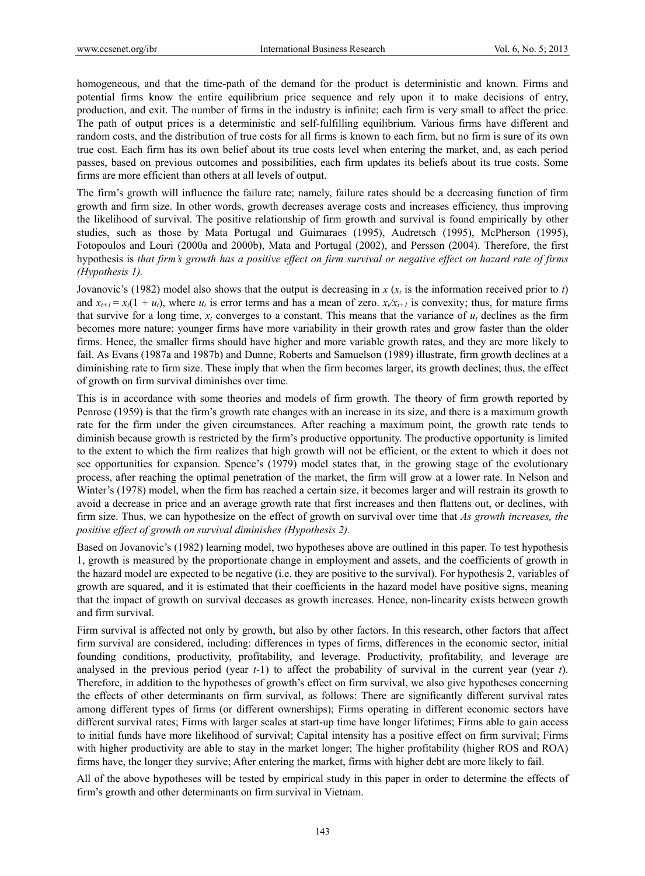homogeneous, and that the time-path of the demand for the product is deterministic and known. Firms and potential firms know the entire equilibrium price sequence and rely upon it to make decisions of entry, production, and exit. The number of firms in the industry is infinite; each firm is very small to affect the price. The path of output prices is a deterministic and self-fulfilling equilibrium. Various firms have different and random costs, and the distribution of true costs for all firms is known to each firm, but no firm is sure of its own true cost. Each firm has its own belief about its true costs level when entering the market, and, as each period passes, based on previous outcomes and possibilities, each firm updates its beliefs about its true costs. Some firms are more efficient than others at all levels of output.

The firm's growth will influence the failure rate; namely, failure rates should be a decreasing function of firm growth and firm size. In other words, growth decreases average costs and increases efficiency, thus improving the likelihood of survival. The positive relationship of firm growth and survival is found empirically by other studies, such as those by Mata Portugal and Guimaraes (1995), Audretsch (1995), McPherson (1995), Fotopoulos and Louri (2000a and 2000b), Mata and Portugal (2002), and Persson (2004). Therefore, the first hypothesis is *that firm's growth has a positive effect on firm survival or negative effect on hazard rate of firms (Hypothesis 1).*

Jovanovic's (1982) model also shows that the output is decreasing in  $x$  ( $x<sub>i</sub>$  is the information received prior to *t*) and  $x_{t+1} = x_t(1 + u_t)$ , where  $u_t$  is error terms and has a mean of zero.  $x_t/x_{t+1}$  is convexity; thus, for mature firms that survive for a long time,  $x_t$  converges to a constant. This means that the variance of  $u_t$  declines as the firm becomes more nature; younger firms have more variability in their growth rates and grow faster than the older firms. Hence, the smaller firms should have higher and more variable growth rates, and they are more likely to fail. As Evans (1987a and 1987b) and Dunne, Roberts and Samuelson (1989) illustrate, firm growth declines at a diminishing rate to firm size. These imply that when the firm becomes larger, its growth declines; thus, the effect of growth on firm survival diminishes over time.

This is in accordance with some theories and models of firm growth. The theory of firm growth reported by Penrose (1959) is that the firm's growth rate changes with an increase in its size, and there is a maximum growth rate for the firm under the given circumstances. After reaching a maximum point, the growth rate tends to diminish because growth is restricted by the firm's productive opportunity. The productive opportunity is limited to the extent to which the firm realizes that high growth will not be efficient, or the extent to which it does not see opportunities for expansion. Spence's (1979) model states that, in the growing stage of the evolutionary process, after reaching the optimal penetration of the market, the firm will grow at a lower rate. In Nelson and Winter's (1978) model, when the firm has reached a certain size, it becomes larger and will restrain its growth to avoid a decrease in price and an average growth rate that first increases and then flattens out, or declines, with firm size. Thus, we can hypothesize on the effect of growth on survival over time that *As growth increases, the positive effect of growth on survival diminishes (Hypothesis 2).* 

Based on Jovanovic's (1982) learning model, two hypotheses above are outlined in this paper. To test hypothesis 1, growth is measured by the proportionate change in employment and assets, and the coefficients of growth in the hazard model are expected to be negative (i.e. they are positive to the survival). For hypothesis 2, variables of growth are squared, and it is estimated that their coefficients in the hazard model have positive signs, meaning that the impact of growth on survival deceases as growth increases. Hence, non-linearity exists between growth and firm survival.

Firm survival is affected not only by growth, but also by other factors. In this research, other factors that affect firm survival are considered, including: differences in types of firms, differences in the economic sector, initial founding conditions, productivity, profitability, and leverage. Productivity, profitability, and leverage are analysed in the previous period (year *t*-1) to affect the probability of survival in the current year (year *t*). Therefore, in addition to the hypotheses of growth's effect on firm survival, we also give hypotheses concerning the effects of other determinants on firm survival, as follows: There are significantly different survival rates among different types of firms (or different ownerships); Firms operating in different economic sectors have different survival rates; Firms with larger scales at start-up time have longer lifetimes; Firms able to gain access to initial funds have more likelihood of survival; Capital intensity has a positive effect on firm survival; Firms with higher productivity are able to stay in the market longer; The higher profitability (higher ROS and ROA) firms have, the longer they survive; After entering the market, firms with higher debt are more likely to fail.

All of the above hypotheses will be tested by empirical study in this paper in order to determine the effects of firm's growth and other determinants on firm survival in Vietnam.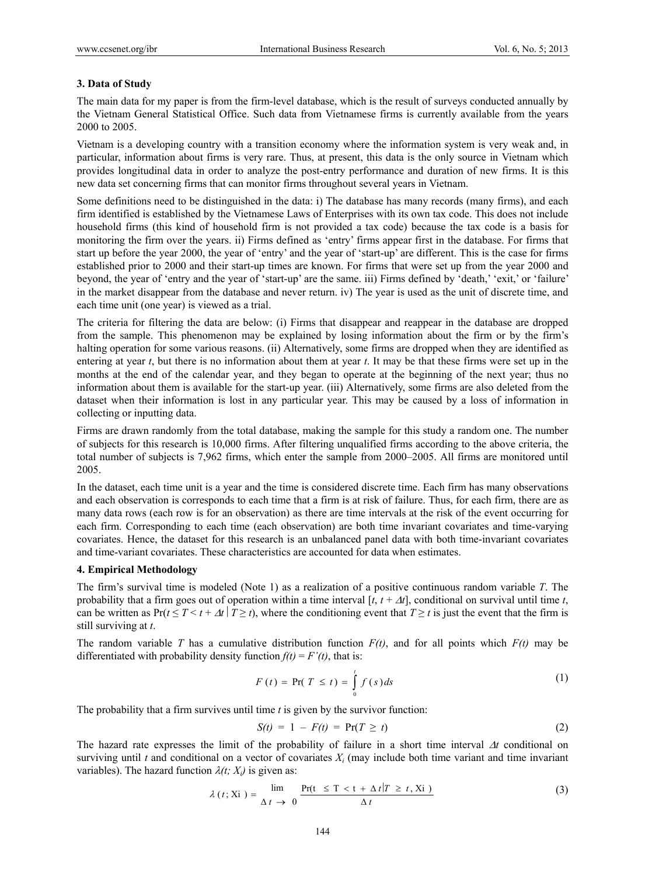#### **3. Data of Study**

The main data for my paper is from the firm-level database, which is the result of surveys conducted annually by the Vietnam General Statistical Office. Such data from Vietnamese firms is currently available from the years 2000 to 2005.

Vietnam is a developing country with a transition economy where the information system is very weak and, in particular, information about firms is very rare. Thus, at present, this data is the only source in Vietnam which provides longitudinal data in order to analyze the post-entry performance and duration of new firms. It is this new data set concerning firms that can monitor firms throughout several years in Vietnam.

Some definitions need to be distinguished in the data: i) The database has many records (many firms), and each firm identified is established by the Vietnamese Laws of Enterprises with its own tax code. This does not include household firms (this kind of household firm is not provided a tax code) because the tax code is a basis for monitoring the firm over the years. ii) Firms defined as 'entry' firms appear first in the database. For firms that start up before the year 2000, the year of 'entry' and the year of 'start-up' are different. This is the case for firms established prior to 2000 and their start-up times are known. For firms that were set up from the year 2000 and beyond, the year of 'entry and the year of 'start-up' are the same. iii) Firms defined by 'death,' 'exit,' or 'failure' in the market disappear from the database and never return. iv) The year is used as the unit of discrete time, and each time unit (one year) is viewed as a trial.

The criteria for filtering the data are below: (i) Firms that disappear and reappear in the database are dropped from the sample. This phenomenon may be explained by losing information about the firm or by the firm's halting operation for some various reasons. (ii) Alternatively, some firms are dropped when they are identified as entering at year *t*, but there is no information about them at year *t*. It may be that these firms were set up in the months at the end of the calendar year, and they began to operate at the beginning of the next year; thus no information about them is available for the start-up year. (iii) Alternatively, some firms are also deleted from the dataset when their information is lost in any particular year. This may be caused by a loss of information in collecting or inputting data.

Firms are drawn randomly from the total database, making the sample for this study a random one. The number of subjects for this research is 10,000 firms. After filtering unqualified firms according to the above criteria, the total number of subjects is 7,962 firms, which enter the sample from 2000–2005. All firms are monitored until 2005.

In the dataset, each time unit is a year and the time is considered discrete time. Each firm has many observations and each observation is corresponds to each time that a firm is at risk of failure. Thus, for each firm, there are as many data rows (each row is for an observation) as there are time intervals at the risk of the event occurring for each firm. Corresponding to each time (each observation) are both time invariant covariates and time-varying covariates. Hence, the dataset for this research is an unbalanced panel data with both time-invariant covariates and time-variant covariates. These characteristics are accounted for data when estimates.

## **4. Empirical Methodology**

The firm's survival time is modeled (Note 1) as a realization of a positive continuous random variable *T*. The probability that a firm goes out of operation within a time interval  $[t, t + \Delta t]$ , conditional on survival until time  $t$ , can be written as  $Pr(t \leq T \leq t + \Delta t | T \geq t)$ , where the conditioning event that  $T \geq t$  is just the event that the firm is still surviving at *t*.

The random variable *T* has a cumulative distribution function  $F(t)$ , and for all points which  $F(t)$  may be differentiated with probability density function  $f(t) = F'(t)$ , that is:

$$
F(t) = \Pr(T \le t) = \int_{0}^{t} f(s) ds \tag{1}
$$

The probability that a firm survives until time *t* is given by the survivor function:

$$
S(t) = 1 - F(t) = \Pr(T \ge t) \tag{2}
$$

The hazard rate expresses the limit of the probability of failure in a short time interval  $\Delta t$  conditional on surviving until  $t$  and conditional on a vector of covariates  $X_i$  (may include both time variant and time invariant variables). The hazard function  $\lambda(t; X_i)$  is given as:

$$
\lambda(t; \mathbf{X} \mathbf{i}) = \frac{\lim_{\Delta t \to 0} \frac{\Pr(t \leq T < t + \Delta t | T \geq t, \mathbf{X} \mathbf{i})}{\Delta t}} \tag{3}
$$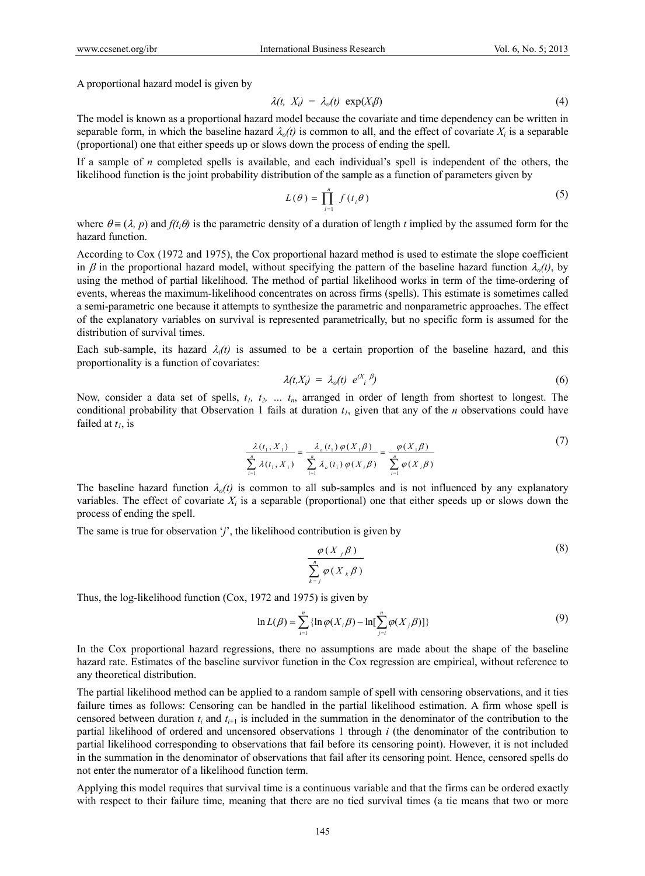A proportional hazard model is given by

$$
\lambda(t, X_i) = \lambda_o(t) \, \exp(X_i \beta) \tag{4}
$$

The model is known as a proportional hazard model because the covariate and time dependency can be written in separable form, in which the baseline hazard  $\lambda_n(t)$  is common to all, and the effect of covariate  $X_i$  is a separable (proportional) one that either speeds up or slows down the process of ending the spell.

If a sample of *n* completed spells is available, and each individual's spell is independent of the others, the likelihood function is the joint probability distribution of the sample as a function of parameters given by

$$
L(\theta) = \prod_{i=1}^{n} f(t_i \theta)
$$
 (5)

where  $\theta = (\lambda, p)$  and  $f(t_i\theta)$  is the parametric density of a duration of length *t* implied by the assumed form for the hazard function.

According to Cox (1972 and 1975), the Cox proportional hazard method is used to estimate the slope coefficient in  $\beta$  in the proportional hazard model, without specifying the pattern of the baseline hazard function  $\lambda_o(t)$ , by using the method of partial likelihood. The method of partial likelihood works in term of the time-ordering of events, whereas the maximum-likelihood concentrates on across firms (spells). This estimate is sometimes called a semi-parametric one because it attempts to synthesize the parametric and nonparametric approaches. The effect of the explanatory variables on survival is represented parametrically, but no specific form is assumed for the distribution of survival times.

Each sub-sample, its hazard  $\lambda_i(t)$  is assumed to be a certain proportion of the baseline hazard, and this proportionality is a function of covariates:

$$
\lambda(t, X_i) = \lambda_o(t) e^{(X_i \beta)} \tag{6}
$$

Now, consider a data set of spells,  $t_1$ ,  $t_2$ ,  $\ldots$ ,  $t_n$ , arranged in order of length from shortest to longest. The conditional probability that Observation 1 fails at duration *t1*, given that any of the *n* observations could have failed at  $t_1$ , is

$$
\frac{\lambda(t_1, X_1)}{\sum_{i=1}^n \lambda(t_1, X_i)} = \frac{\lambda_o(t_1) \varphi(X_1 \beta)}{\sum_{i=1}^n \lambda_o(t_1) \varphi(X_i \beta)} = \frac{\varphi(X_1 \beta)}{\sum_{i=1}^n \varphi(X_i \beta)}
$$
(7)

The baseline hazard function  $\lambda_o(t)$  is common to all sub-samples and is not influenced by any explanatory variables. The effect of covariate  $X_i$  is a separable (proportional) one that either speeds up or slows down the process of ending the spell.

The same is true for observation '*j*', the likelihood contribution is given by

$$
\frac{\varphi(X_j \beta)}{\sum_{k=j}^n \varphi(X_k \beta)}
$$
\n(8)

Thus, the log-likelihood function (Cox, 1972 and 1975) is given by

$$
\ln L(\beta) = \sum_{i=1}^{n} \{ \ln \varphi(X_i \beta) - \ln[\sum_{j=i}^{n} \varphi(X_j \beta)] \}
$$
\n(9)

In the Cox proportional hazard regressions, there no assumptions are made about the shape of the baseline hazard rate. Estimates of the baseline survivor function in the Cox regression are empirical, without reference to any theoretical distribution.

The partial likelihood method can be applied to a random sample of spell with censoring observations, and it ties failure times as follows: Censoring can be handled in the partial likelihood estimation. A firm whose spell is censored between duration  $t_i$  and  $t_{i+1}$  is included in the summation in the denominator of the contribution to the partial likelihood of ordered and uncensored observations 1 through *i* (the denominator of the contribution to partial likelihood corresponding to observations that fail before its censoring point). However, it is not included in the summation in the denominator of observations that fail after its censoring point. Hence, censored spells do not enter the numerator of a likelihood function term.

Applying this model requires that survival time is a continuous variable and that the firms can be ordered exactly with respect to their failure time, meaning that there are no tied survival times (a tie means that two or more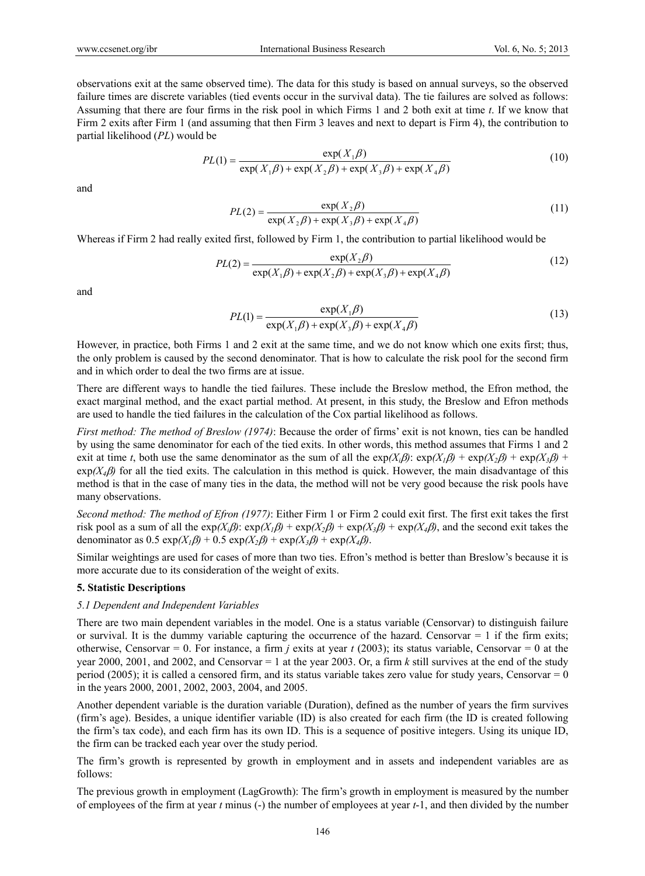observations exit at the same observed time). The data for this study is based on annual surveys, so the observed failure times are discrete variables (tied events occur in the survival data). The tie failures are solved as follows: Assuming that there are four firms in the risk pool in which Firms 1 and 2 both exit at time *t*. If we know that Firm 2 exits after Firm 1 (and assuming that then Firm 3 leaves and next to depart is Firm 4), the contribution to partial likelihood (*PL*) would be

$$
PL(1) = \frac{\exp(X_1 \beta)}{\exp(X_1 \beta) + \exp(X_2 \beta) + \exp(X_3 \beta) + \exp(X_4 \beta)}
$$
(10)

and

$$
PL(2) = \frac{\exp(X_2 \beta)}{\exp(X_2 \beta) + \exp(X_3 \beta) + \exp(X_4 \beta)}
$$
(11)

Whereas if Firm 2 had really exited first, followed by Firm 1, the contribution to partial likelihood would be

$$
PL(2) = \frac{\exp(X_2 \beta)}{\exp(X_1 \beta) + \exp(X_2 \beta) + \exp(X_3 \beta) + \exp(X_4 \beta)}
$$
(12)

and

$$
PL(1) = \frac{\exp(X_1 \beta)}{\exp(X_1 \beta) + \exp(X_3 \beta) + \exp(X_4 \beta)}
$$
(13)

However, in practice, both Firms 1 and 2 exit at the same time, and we do not know which one exits first; thus, the only problem is caused by the second denominator. That is how to calculate the risk pool for the second firm and in which order to deal the two firms are at issue.

There are different ways to handle the tied failures. These include the Breslow method, the Efron method, the exact marginal method, and the exact partial method. At present, in this study, the Breslow and Efron methods are used to handle the tied failures in the calculation of the Cox partial likelihood as follows.

*First method: The method of Breslow (1974)*: Because the order of firms' exit is not known, ties can be handled by using the same denominator for each of the tied exits. In other words, this method assumes that Firms 1 and 2 exit at time *t*, both use the same denominator as the sum of all the  $\exp(X_i\beta)$ :  $\exp(X_i\beta) + \exp(X_2\beta) + \exp(X_3\beta)$  $\exp(X_4\beta)$  for all the tied exits. The calculation in this method is quick. However, the main disadvantage of this method is that in the case of many ties in the data, the method will not be very good because the risk pools have many observations.

*Second method: The method of Efron (1977)*: Either Firm 1 or Firm 2 could exit first. The first exit takes the first risk pool as a sum of all the  $exp(X_i\beta)$ :  $exp(X_i\beta) + exp(X_2\beta) + exp(X_3\beta) + exp(X_4\beta)$ , and the second exit takes the denominator as  $0.5 \exp(X_1\beta) + 0.5 \exp(X_2\beta) + \exp(X_3\beta) + \exp(X_4\beta)$ .

Similar weightings are used for cases of more than two ties. Efron's method is better than Breslow's because it is more accurate due to its consideration of the weight of exits.

## **5. Statistic Descriptions**

## *5.1 Dependent and Independent Variables*

There are two main dependent variables in the model. One is a status variable (Censorvar) to distinguish failure or survival. It is the dummy variable capturing the occurrence of the hazard. Censorvar  $= 1$  if the firm exits; otherwise, Censorvar = 0. For instance, a firm *j* exits at year *t* (2003); its status variable, Censorvar = 0 at the year 2000, 2001, and 2002, and Censorvar = 1 at the year 2003. Or, a firm *k* still survives at the end of the study period (2005); it is called a censored firm, and its status variable takes zero value for study years, Censorvar = 0 in the years 2000, 2001, 2002, 2003, 2004, and 2005.

Another dependent variable is the duration variable (Duration), defined as the number of years the firm survives (firm's age). Besides, a unique identifier variable (ID) is also created for each firm (the ID is created following the firm's tax code), and each firm has its own ID. This is a sequence of positive integers. Using its unique ID, the firm can be tracked each year over the study period.

The firm's growth is represented by growth in employment and in assets and independent variables are as follows:

The previous growth in employment (LagGrowth): The firm's growth in employment is measured by the number of employees of the firm at year *t* minus (-) the number of employees at year *t*-1, and then divided by the number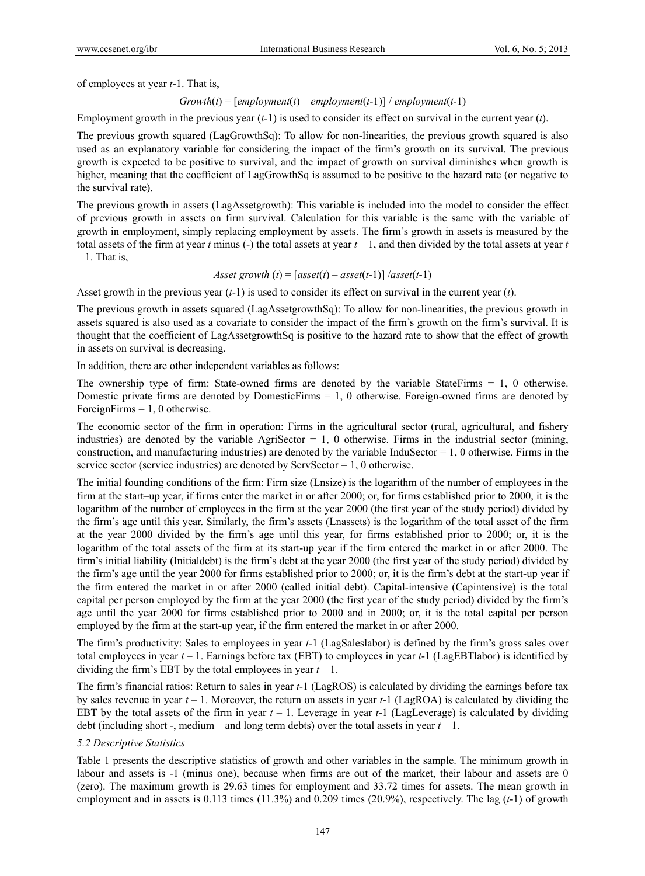of employees at year *t*-1. That is,

```
Growth(t) = [emptyment(t) - employment(t-1)] / emplogment(t-1)
```
Employment growth in the previous year (*t*-1) is used to consider its effect on survival in the current year (*t*).

The previous growth squared (LagGrowthSq): To allow for non-linearities, the previous growth squared is also used as an explanatory variable for considering the impact of the firm's growth on its survival. The previous growth is expected to be positive to survival, and the impact of growth on survival diminishes when growth is higher, meaning that the coefficient of LagGrowthSq is assumed to be positive to the hazard rate (or negative to the survival rate).

The previous growth in assets (LagAssetgrowth): This variable is included into the model to consider the effect of previous growth in assets on firm survival. Calculation for this variable is the same with the variable of growth in employment, simply replacing employment by assets. The firm's growth in assets is measured by the total assets of the firm at year  $t$  minus (-) the total assets at year  $t-1$ , and then divided by the total assets at year  $t$  $-1$ . That is,

$$
\:
$$

Asset growth in the previous year (*t*-1) is used to consider its effect on survival in the current year (*t*).

The previous growth in assets squared (LagAssetgrowthSq): To allow for non-linearities, the previous growth in assets squared is also used as a covariate to consider the impact of the firm's growth on the firm's survival. It is thought that the coefficient of LagAssetgrowthSq is positive to the hazard rate to show that the effect of growth in assets on survival is decreasing.

In addition, there are other independent variables as follows:

The ownership type of firm: State-owned firms are denoted by the variable StateFirms = 1, 0 otherwise. Domestic private firms are denoted by DomesticFirms  $= 1$ , 0 otherwise. Foreign-owned firms are denoted by ForeignFirms  $= 1, 0$  otherwise.

The economic sector of the firm in operation: Firms in the agricultural sector (rural, agricultural, and fishery industries) are denoted by the variable AgriSector  $= 1, 0$  otherwise. Firms in the industrial sector (mining, construction, and manufacturing industries) are denoted by the variable InduSector  $= 1, 0$  otherwise. Firms in the service sector (service industries) are denoted by ServSector  $= 1, 0$  otherwise.

The initial founding conditions of the firm: Firm size (Lnsize) is the logarithm of the number of employees in the firm at the start–up year, if firms enter the market in or after 2000; or, for firms established prior to 2000, it is the logarithm of the number of employees in the firm at the year 2000 (the first year of the study period) divided by the firm's age until this year. Similarly, the firm's assets (Lnassets) is the logarithm of the total asset of the firm at the year 2000 divided by the firm's age until this year, for firms established prior to 2000; or, it is the logarithm of the total assets of the firm at its start-up year if the firm entered the market in or after 2000. The firm's initial liability (Initialdebt) is the firm's debt at the year 2000 (the first year of the study period) divided by the firm's age until the year 2000 for firms established prior to 2000; or, it is the firm's debt at the start-up year if the firm entered the market in or after 2000 (called initial debt). Capital-intensive (Capintensive) is the total capital per person employed by the firm at the year 2000 (the first year of the study period) divided by the firm's age until the year 2000 for firms established prior to 2000 and in 2000; or, it is the total capital per person employed by the firm at the start-up year, if the firm entered the market in or after 2000.

The firm's productivity: Sales to employees in year *t*-1 (LagSaleslabor) is defined by the firm's gross sales over total employees in year *t* – 1. Earnings before tax (EBT) to employees in year *t*-1 (LagEBTlabor) is identified by dividing the firm's EBT by the total employees in year  $t - 1$ .

The firm's financial ratios: Return to sales in year *t*-1 (LagROS) is calculated by dividing the earnings before tax by sales revenue in year  $t - 1$ . Moreover, the return on assets in year  $t-1$  (LagROA) is calculated by dividing the EBT by the total assets of the firm in year  $t - 1$ . Leverage in year  $t-1$  (LagLeverage) is calculated by dividing debt (including short -, medium – and long term debts) over the total assets in year  $t - 1$ .

## *5.2 Descriptive Statistics*

Table 1 presents the descriptive statistics of growth and other variables in the sample. The minimum growth in labour and assets is -1 (minus one), because when firms are out of the market, their labour and assets are 0 (zero). The maximum growth is 29.63 times for employment and 33.72 times for assets. The mean growth in employment and in assets is 0.113 times (11.3%) and 0.209 times (20.9%), respectively. The lag (*t*-1) of growth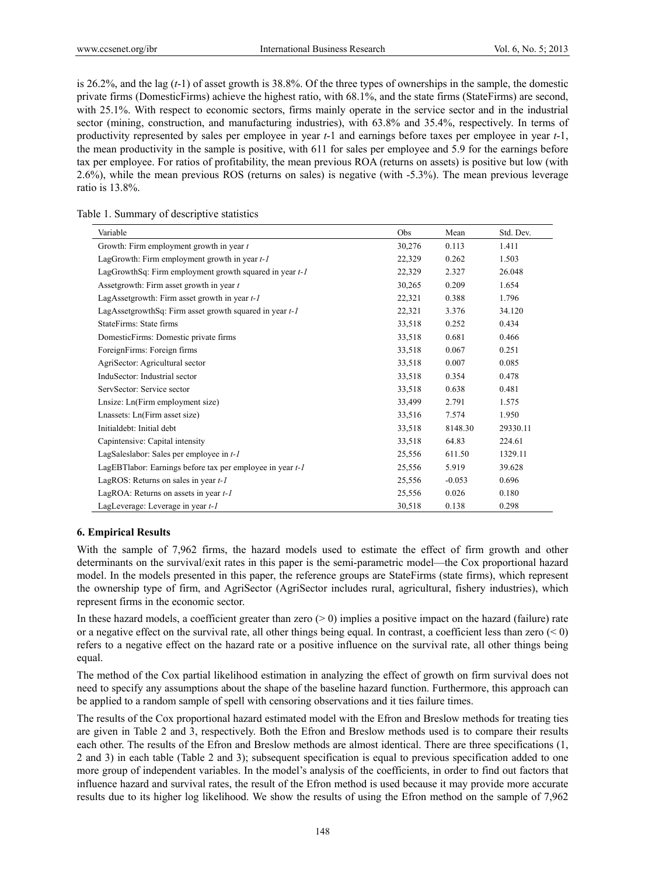is 26.2%, and the lag (*t*-1) of asset growth is 38.8%. Of the three types of ownerships in the sample, the domestic private firms (DomesticFirms) achieve the highest ratio, with 68.1%, and the state firms (StateFirms) are second, with 25.1%. With respect to economic sectors, firms mainly operate in the service sector and in the industrial sector (mining, construction, and manufacturing industries), with 63.8% and 35.4%, respectively. In terms of productivity represented by sales per employee in year *t*-1 and earnings before taxes per employee in year *t*-1, the mean productivity in the sample is positive, with 611 for sales per employee and 5.9 for the earnings before tax per employee. For ratios of profitability, the mean previous ROA (returns on assets) is positive but low (with 2.6%), while the mean previous ROS (returns on sales) is negative (with -5.3%). The mean previous leverage ratio is 13.8%.

| Variable                                                  | Obs    | Mean     | Std. Dev. |
|-----------------------------------------------------------|--------|----------|-----------|
| Growth: Firm employment growth in year $t$                | 30,276 | 0.113    | 1.411     |
| LagGrowth: Firm employment growth in year $t-1$           | 22,329 | 0.262    | 1.503     |
| LagGrowthSq: Firm employment growth squared in year $t-1$ | 22,329 | 2.327    | 26.048    |
| Assetgrowth: Firm asset growth in year t                  | 30,265 | 0.209    | 1.654     |
| LagAssetgrowth: Firm asset growth in year t-1             | 22,321 | 0.388    | 1.796     |
| LagAssetgrowthSq: Firm asset growth squared in year $t-1$ | 22,321 | 3.376    | 34.120    |
| StateFirms: State firms                                   | 33,518 | 0.252    | 0.434     |
| DomesticFirms: Domestic private firms                     | 33,518 | 0.681    | 0.466     |
| ForeignFirms: Foreign firms                               | 33,518 | 0.067    | 0.251     |
| AgriSector: Agricultural sector                           | 33,518 | 0.007    | 0.085     |
| InduSector: Industrial sector                             | 33,518 | 0.354    | 0.478     |
| ServSector: Service sector                                | 33,518 | 0.638    | 0.481     |
| Lnsize: Ln(Firm employment size)                          | 33,499 | 2.791    | 1.575     |
| Lnassets: Ln(Firm asset size)                             | 33,516 | 7.574    | 1.950     |
| Initialdebt: Initial debt                                 | 33,518 | 8148.30  | 29330.11  |
| Capintensive: Capital intensity                           | 33,518 | 64.83    | 224.61    |
| LagSaleslabor: Sales per employee in t-1                  | 25,556 | 611.50   | 1329.11   |
| LagEBTlabor: Earnings before tax per employee in year t-1 | 25,556 | 5.919    | 39.628    |
| LagROS: Returns on sales in year $t-1$                    | 25,556 | $-0.053$ | 0.696     |
| LagROA: Returns on assets in year $t-1$                   | 25,556 | 0.026    | 0.180     |
| LagLeverage: Leverage in year t-1                         | 30,518 | 0.138    | 0.298     |

## Table 1. Summary of descriptive statistics

#### **6. Empirical Results**

With the sample of 7,962 firms, the hazard models used to estimate the effect of firm growth and other determinants on the survival/exit rates in this paper is the semi-parametric model—the Cox proportional hazard model. In the models presented in this paper, the reference groups are StateFirms (state firms), which represent the ownership type of firm, and AgriSector (AgriSector includes rural, agricultural, fishery industries), which represent firms in the economic sector.

In these hazard models, a coefficient greater than zero  $(> 0)$  implies a positive impact on the hazard (failure) rate or a negative effect on the survival rate, all other things being equal. In contrast, a coefficient less than zero  $(0, 0)$ refers to a negative effect on the hazard rate or a positive influence on the survival rate, all other things being equal.

The method of the Cox partial likelihood estimation in analyzing the effect of growth on firm survival does not need to specify any assumptions about the shape of the baseline hazard function. Furthermore, this approach can be applied to a random sample of spell with censoring observations and it ties failure times.

The results of the Cox proportional hazard estimated model with the Efron and Breslow methods for treating ties are given in Table 2 and 3, respectively. Both the Efron and Breslow methods used is to compare their results each other. The results of the Efron and Breslow methods are almost identical. There are three specifications (1, 2 and 3) in each table (Table 2 and 3); subsequent specification is equal to previous specification added to one more group of independent variables. In the model's analysis of the coefficients, in order to find out factors that influence hazard and survival rates, the result of the Efron method is used because it may provide more accurate results due to its higher log likelihood. We show the results of using the Efron method on the sample of 7,962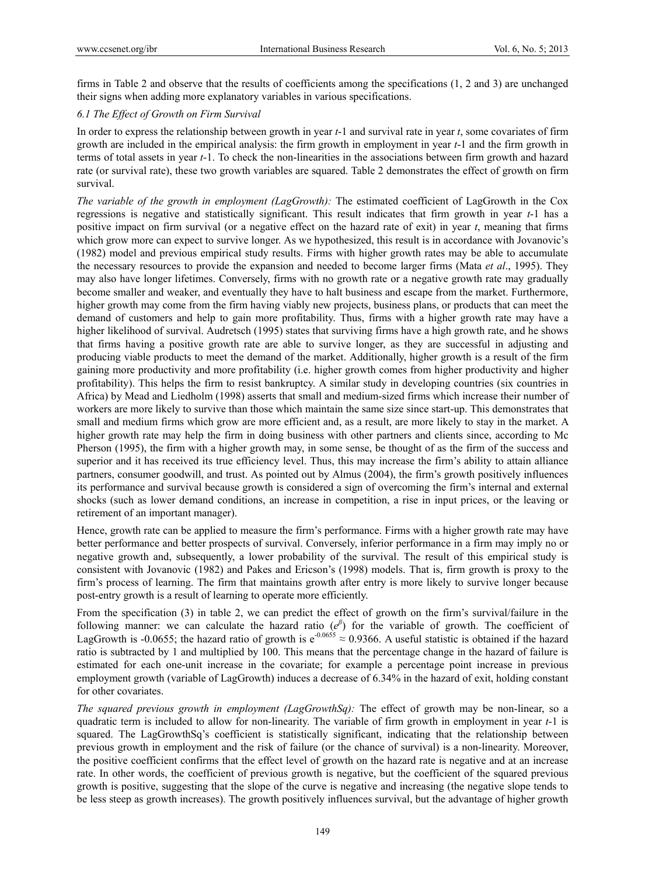firms in Table 2 and observe that the results of coefficients among the specifications (1, 2 and 3) are unchanged their signs when adding more explanatory variables in various specifications.

## *6.1 The Effect of Growth on Firm Survival*

In order to express the relationship between growth in year *t*-1 and survival rate in year *t*, some covariates of firm growth are included in the empirical analysis: the firm growth in employment in year *t*-1 and the firm growth in terms of total assets in year *t*-1. To check the non-linearities in the associations between firm growth and hazard rate (or survival rate), these two growth variables are squared. Table 2 demonstrates the effect of growth on firm survival.

*The variable of the growth in employment (LagGrowth):* The estimated coefficient of LagGrowth in the Cox regressions is negative and statistically significant. This result indicates that firm growth in year *t*-1 has a positive impact on firm survival (or a negative effect on the hazard rate of exit) in year *t*, meaning that firms which grow more can expect to survive longer. As we hypothesized, this result is in accordance with Jovanovic's (1982) model and previous empirical study results. Firms with higher growth rates may be able to accumulate the necessary resources to provide the expansion and needed to become larger firms (Mata *et al*., 1995). They may also have longer lifetimes. Conversely, firms with no growth rate or a negative growth rate may gradually become smaller and weaker, and eventually they have to halt business and escape from the market. Furthermore, higher growth may come from the firm having viably new projects, business plans, or products that can meet the demand of customers and help to gain more profitability. Thus, firms with a higher growth rate may have a higher likelihood of survival. Audretsch (1995) states that surviving firms have a high growth rate, and he shows that firms having a positive growth rate are able to survive longer, as they are successful in adjusting and producing viable products to meet the demand of the market. Additionally, higher growth is a result of the firm gaining more productivity and more profitability (i.e. higher growth comes from higher productivity and higher profitability). This helps the firm to resist bankruptcy. A similar study in developing countries (six countries in Africa) by Mead and Liedholm (1998) asserts that small and medium-sized firms which increase their number of workers are more likely to survive than those which maintain the same size since start-up. This demonstrates that small and medium firms which grow are more efficient and, as a result, are more likely to stay in the market. A higher growth rate may help the firm in doing business with other partners and clients since, according to Mc Pherson (1995), the firm with a higher growth may, in some sense, be thought of as the firm of the success and superior and it has received its true efficiency level. Thus, this may increase the firm's ability to attain alliance partners, consumer goodwill, and trust. As pointed out by Almus (2004), the firm's growth positively influences its performance and survival because growth is considered a sign of overcoming the firm's internal and external shocks (such as lower demand conditions, an increase in competition, a rise in input prices, or the leaving or retirement of an important manager).

Hence, growth rate can be applied to measure the firm's performance. Firms with a higher growth rate may have better performance and better prospects of survival. Conversely, inferior performance in a firm may imply no or negative growth and, subsequently, a lower probability of the survival. The result of this empirical study is consistent with Jovanovic (1982) and Pakes and Ericson's (1998) models. That is, firm growth is proxy to the firm's process of learning. The firm that maintains growth after entry is more likely to survive longer because post-entry growth is a result of learning to operate more efficiently.

From the specification (3) in table 2, we can predict the effect of growth on the firm's survival/failure in the following manner: we can calculate the hazard ratio  $(e^{\beta})$  for the variable of growth. The coefficient of LagGrowth is -0.0655; the hazard ratio of growth is  $e^{-0.0655} \approx 0.9366$ . A useful statistic is obtained if the hazard ratio is subtracted by 1 and multiplied by 100. This means that the percentage change in the hazard of failure is estimated for each one-unit increase in the covariate; for example a percentage point increase in previous employment growth (variable of LagGrowth) induces a decrease of 6.34% in the hazard of exit, holding constant for other covariates.

*The squared previous growth in employment (LagGrowthSq):* The effect of growth may be non-linear, so a quadratic term is included to allow for non-linearity. The variable of firm growth in employment in year *t*-1 is squared. The LagGrowthSq's coefficient is statistically significant, indicating that the relationship between previous growth in employment and the risk of failure (or the chance of survival) is a non-linearity. Moreover, the positive coefficient confirms that the effect level of growth on the hazard rate is negative and at an increase rate. In other words, the coefficient of previous growth is negative, but the coefficient of the squared previous growth is positive, suggesting that the slope of the curve is negative and increasing (the negative slope tends to be less steep as growth increases). The growth positively influences survival, but the advantage of higher growth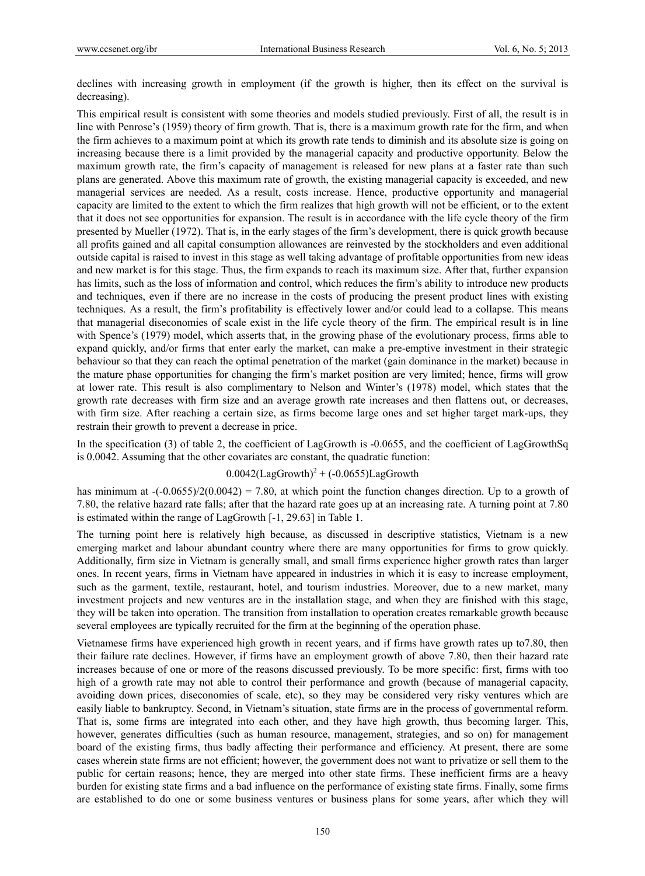declines with increasing growth in employment (if the growth is higher, then its effect on the survival is decreasing).

This empirical result is consistent with some theories and models studied previously. First of all, the result is in line with Penrose's (1959) theory of firm growth. That is, there is a maximum growth rate for the firm, and when the firm achieves to a maximum point at which its growth rate tends to diminish and its absolute size is going on increasing because there is a limit provided by the managerial capacity and productive opportunity. Below the maximum growth rate, the firm's capacity of management is released for new plans at a faster rate than such plans are generated. Above this maximum rate of growth, the existing managerial capacity is exceeded, and new managerial services are needed. As a result, costs increase. Hence, productive opportunity and managerial capacity are limited to the extent to which the firm realizes that high growth will not be efficient, or to the extent that it does not see opportunities for expansion. The result is in accordance with the life cycle theory of the firm presented by Mueller (1972). That is, in the early stages of the firm's development, there is quick growth because all profits gained and all capital consumption allowances are reinvested by the stockholders and even additional outside capital is raised to invest in this stage as well taking advantage of profitable opportunities from new ideas and new market is for this stage. Thus, the firm expands to reach its maximum size. After that, further expansion has limits, such as the loss of information and control, which reduces the firm's ability to introduce new products and techniques, even if there are no increase in the costs of producing the present product lines with existing techniques. As a result, the firm's profitability is effectively lower and/or could lead to a collapse. This means that managerial diseconomies of scale exist in the life cycle theory of the firm. The empirical result is in line with Spence's (1979) model, which asserts that, in the growing phase of the evolutionary process, firms able to expand quickly, and/or firms that enter early the market, can make a pre-emptive investment in their strategic behaviour so that they can reach the optimal penetration of the market (gain dominance in the market) because in the mature phase opportunities for changing the firm's market position are very limited; hence, firms will grow at lower rate. This result is also complimentary to Nelson and Winter's (1978) model, which states that the growth rate decreases with firm size and an average growth rate increases and then flattens out, or decreases, with firm size. After reaching a certain size, as firms become large ones and set higher target mark-ups, they restrain their growth to prevent a decrease in price.

In the specification (3) of table 2, the coefficient of LagGrowth is -0.0655, and the coefficient of LagGrowthSq is 0.0042. Assuming that the other covariates are constant, the quadratic function:

# $0.0042$ (LagGrowth)<sup>2</sup> + (-0.0655)LagGrowth

has minimum at  $(-0.0655)/2(0.0042) = 7.80$ , at which point the function changes direction. Up to a growth of 7.80, the relative hazard rate falls; after that the hazard rate goes up at an increasing rate. A turning point at 7.80 is estimated within the range of LagGrowth [-1, 29.63] in Table 1.

The turning point here is relatively high because, as discussed in descriptive statistics, Vietnam is a new emerging market and labour abundant country where there are many opportunities for firms to grow quickly. Additionally, firm size in Vietnam is generally small, and small firms experience higher growth rates than larger ones. In recent years, firms in Vietnam have appeared in industries in which it is easy to increase employment, such as the garment, textile, restaurant, hotel, and tourism industries. Moreover, due to a new market, many investment projects and new ventures are in the installation stage, and when they are finished with this stage, they will be taken into operation. The transition from installation to operation creates remarkable growth because several employees are typically recruited for the firm at the beginning of the operation phase.

Vietnamese firms have experienced high growth in recent years, and if firms have growth rates up to7.80, then their failure rate declines. However, if firms have an employment growth of above 7.80, then their hazard rate increases because of one or more of the reasons discussed previously. To be more specific: first, firms with too high of a growth rate may not able to control their performance and growth (because of managerial capacity, avoiding down prices, diseconomies of scale, etc), so they may be considered very risky ventures which are easily liable to bankruptcy. Second, in Vietnam's situation, state firms are in the process of governmental reform. That is, some firms are integrated into each other, and they have high growth, thus becoming larger. This, however, generates difficulties (such as human resource, management, strategies, and so on) for management board of the existing firms, thus badly affecting their performance and efficiency. At present, there are some cases wherein state firms are not efficient; however, the government does not want to privatize or sell them to the public for certain reasons; hence, they are merged into other state firms. These inefficient firms are a heavy burden for existing state firms and a bad influence on the performance of existing state firms. Finally, some firms are established to do one or some business ventures or business plans for some years, after which they will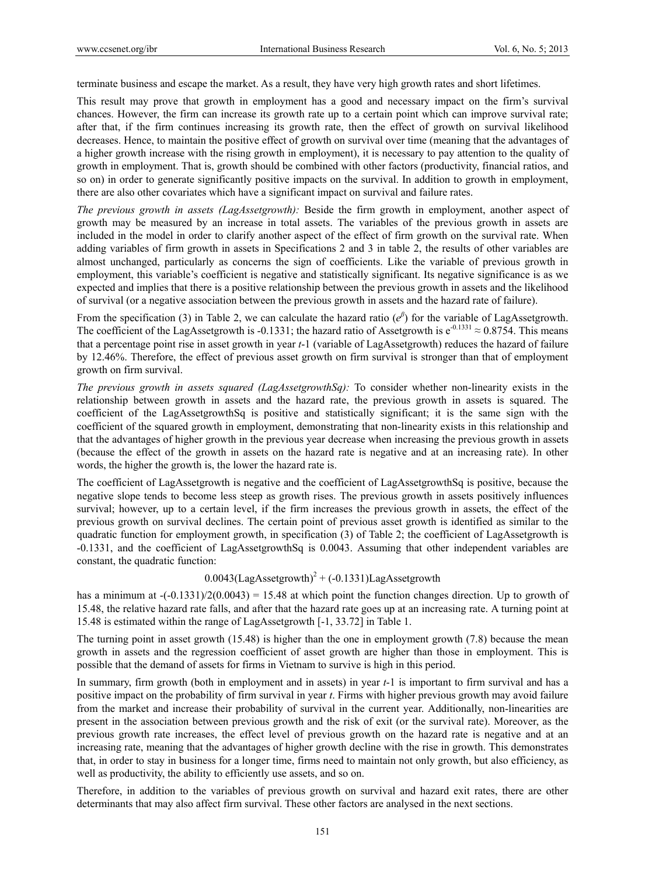terminate business and escape the market. As a result, they have very high growth rates and short lifetimes.

This result may prove that growth in employment has a good and necessary impact on the firm's survival chances. However, the firm can increase its growth rate up to a certain point which can improve survival rate; after that, if the firm continues increasing its growth rate, then the effect of growth on survival likelihood decreases. Hence, to maintain the positive effect of growth on survival over time (meaning that the advantages of a higher growth increase with the rising growth in employment), it is necessary to pay attention to the quality of growth in employment. That is, growth should be combined with other factors (productivity, financial ratios, and so on) in order to generate significantly positive impacts on the survival. In addition to growth in employment, there are also other covariates which have a significant impact on survival and failure rates.

*The previous growth in assets (LagAssetgrowth):* Beside the firm growth in employment, another aspect of growth may be measured by an increase in total assets. The variables of the previous growth in assets are included in the model in order to clarify another aspect of the effect of firm growth on the survival rate. When adding variables of firm growth in assets in Specifications 2 and 3 in table 2, the results of other variables are almost unchanged, particularly as concerns the sign of coefficients. Like the variable of previous growth in employment, this variable's coefficient is negative and statistically significant. Its negative significance is as we expected and implies that there is a positive relationship between the previous growth in assets and the likelihood of survival (or a negative association between the previous growth in assets and the hazard rate of failure).

From the specification (3) in Table 2, we can calculate the hazard ratio  $(e^{\beta})$  for the variable of LagAssetgrowth. The coefficient of the LagAssetgrowth is -0.1331; the hazard ratio of Assetgrowth is  $e^{-0.1331} \approx 0.8754$ . This means that a percentage point rise in asset growth in year *t*-1 (variable of LagAssetgrowth) reduces the hazard of failure by 12.46%. Therefore, the effect of previous asset growth on firm survival is stronger than that of employment growth on firm survival.

*The previous growth in assets squared (LagAssetgrowthSq):* To consider whether non-linearity exists in the relationship between growth in assets and the hazard rate, the previous growth in assets is squared. The coefficient of the LagAssetgrowthSq is positive and statistically significant; it is the same sign with the coefficient of the squared growth in employment, demonstrating that non-linearity exists in this relationship and that the advantages of higher growth in the previous year decrease when increasing the previous growth in assets (because the effect of the growth in assets on the hazard rate is negative and at an increasing rate). In other words, the higher the growth is, the lower the hazard rate is.

The coefficient of LagAssetgrowth is negative and the coefficient of LagAssetgrowthSq is positive, because the negative slope tends to become less steep as growth rises. The previous growth in assets positively influences survival; however, up to a certain level, if the firm increases the previous growth in assets, the effect of the previous growth on survival declines. The certain point of previous asset growth is identified as similar to the quadratic function for employment growth, in specification (3) of Table 2; the coefficient of LagAssetgrowth is -0.1331, and the coefficient of LagAssetgrowthSq is 0.0043. Assuming that other independent variables are constant, the quadratic function:

# $0.0043$ (LagAssetgrowth)<sup>2</sup> + (-0.1331)LagAssetgrowth

has a minimum at  $(-0.1331)/2(0.0043) = 15.48$  at which point the function changes direction. Up to growth of 15.48, the relative hazard rate falls, and after that the hazard rate goes up at an increasing rate. A turning point at 15.48 is estimated within the range of LagAssetgrowth [-1, 33.72] in Table 1.

The turning point in asset growth (15.48) is higher than the one in employment growth (7.8) because the mean growth in assets and the regression coefficient of asset growth are higher than those in employment. This is possible that the demand of assets for firms in Vietnam to survive is high in this period.

In summary, firm growth (both in employment and in assets) in year *t*-1 is important to firm survival and has a positive impact on the probability of firm survival in year *t*. Firms with higher previous growth may avoid failure from the market and increase their probability of survival in the current year. Additionally, non-linearities are present in the association between previous growth and the risk of exit (or the survival rate). Moreover, as the previous growth rate increases, the effect level of previous growth on the hazard rate is negative and at an increasing rate, meaning that the advantages of higher growth decline with the rise in growth. This demonstrates that, in order to stay in business for a longer time, firms need to maintain not only growth, but also efficiency, as well as productivity, the ability to efficiently use assets, and so on.

Therefore, in addition to the variables of previous growth on survival and hazard exit rates, there are other determinants that may also affect firm survival. These other factors are analysed in the next sections.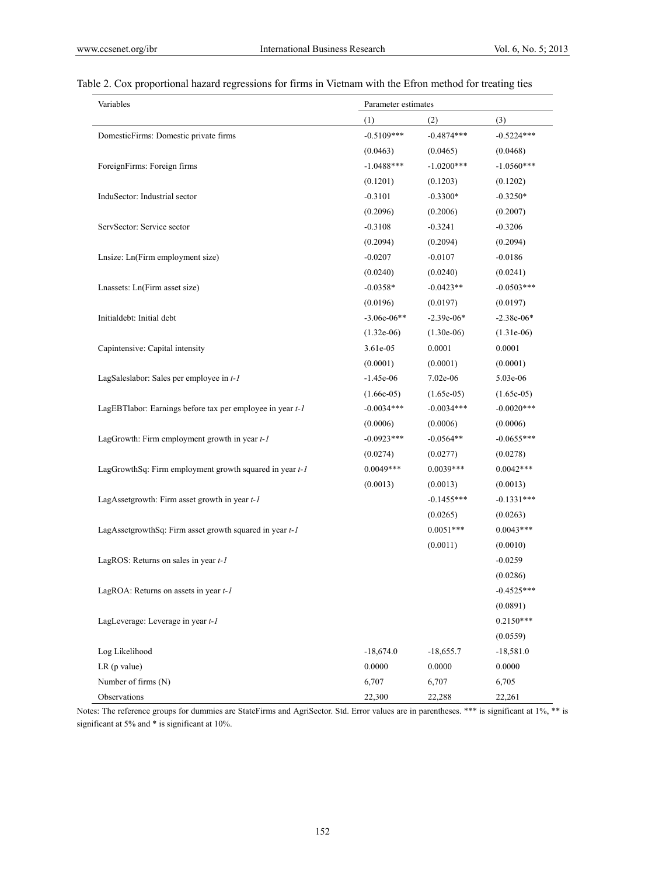# Table 2. Cox proportional hazard regressions for firms in Vietnam with the Efron method for treating ties

| Variables                                                 | Parameter estimates |              |              |
|-----------------------------------------------------------|---------------------|--------------|--------------|
|                                                           | (1)                 | (2)          | (3)          |
| DomesticFirms: Domestic private firms                     | $-0.5109***$        | $-0.4874***$ | $-0.5224***$ |
|                                                           | (0.0463)            | (0.0465)     | (0.0468)     |
| ForeignFirms: Foreign firms                               | $-1.0488***$        | $-1.0200***$ | $-1.0560***$ |
|                                                           | (0.1201)            | (0.1203)     | (0.1202)     |
| InduSector: Industrial sector                             | $-0.3101$           | $-0.3300*$   | $-0.3250*$   |
|                                                           | (0.2096)            | (0.2006)     | (0.2007)     |
| ServSector: Service sector                                | $-0.3108$           | $-0.3241$    | $-0.3206$    |
|                                                           | (0.2094)            | (0.2094)     | (0.2094)     |
| Lnsize: Ln(Firm employment size)                          | $-0.0207$           | $-0.0107$    | $-0.0186$    |
|                                                           | (0.0240)            | (0.0240)     | (0.0241)     |
| Lnassets: Ln(Firm asset size)                             | $-0.0358*$          | $-0.0423**$  | $-0.0503***$ |
|                                                           | (0.0196)            | (0.0197)     | (0.0197)     |
| Initialdebt: Initial debt                                 | $-3.06e-06**$       | $-2.39e-06*$ | $-2.38e-06*$ |
|                                                           | $(1.32e-06)$        | $(1.30e-06)$ | $(1.31e-06)$ |
| Capintensive: Capital intensity                           | 3.61e-05            | 0.0001       | 0.0001       |
|                                                           | (0.0001)            | (0.0001)     | (0.0001)     |
| LagSaleslabor: Sales per employee in $t-1$                | $-1.45e-06$         | 7.02e-06     | $5.03e-06$   |
|                                                           | $(1.66e-05)$        | $(1.65e-05)$ | $(1.65e-05)$ |
| LagEBTlabor: Earnings before tax per employee in year t-1 | $-0.0034***$        | $-0.0034***$ | $-0.0020***$ |
|                                                           | (0.0006)            | (0.0006)     | (0.0006)     |
| LagGrowth: Firm employment growth in year t-1             | $-0.0923***$        | $-0.0564**$  | $-0.0655***$ |
|                                                           | (0.0274)            | (0.0277)     | (0.0278)     |
| LagGrowthSq: Firm employment growth squared in year t-1   | $0.0049***$         | $0.0039***$  | $0.0042***$  |
|                                                           | (0.0013)            | (0.0013)     | (0.0013)     |
| LagAssetgrowth: Firm asset growth in year t-1             |                     | $-0.1455***$ | $-0.1331***$ |
|                                                           |                     | (0.0265)     | (0.0263)     |
| LagAssetgrowthSq: Firm asset growth squared in year t-1   |                     | $0.0051***$  | $0.0043***$  |
|                                                           |                     | (0.0011)     | (0.0010)     |
| LagROS: Returns on sales in year $t-1$                    |                     |              | $-0.0259$    |
|                                                           |                     |              | (0.0286)     |
| LagROA: Returns on assets in year $t$ - $l$               |                     |              | $-0.4525***$ |
|                                                           |                     |              | (0.0891)     |
| LagLeverage: Leverage in year t-1                         |                     |              | $0.2150***$  |
|                                                           |                     |              | (0.0559)     |
| Log Likelihood                                            | $-18,674.0$         | $-18,655.7$  | $-18,581.0$  |
| $LR$ (p value)                                            | 0.0000              | 0.0000       | 0.0000       |
| Number of firms (N)                                       | 6,707               | 6,707        | 6,705        |
| Observations                                              | 22,300              | 22,288       | 22,261       |

Notes: The reference groups for dummies are StateFirms and AgriSector. Std. Error values are in parentheses. \*\*\* is significant at 1%, \*\* is significant at 5% and \* is significant at 10%.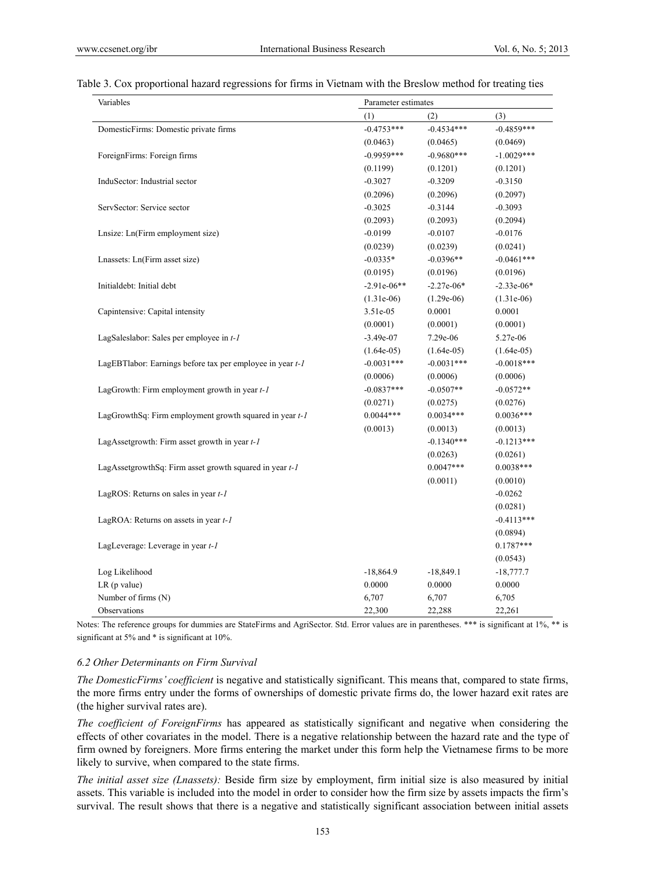| Variables                                                 | Parameter estimates |              |              |
|-----------------------------------------------------------|---------------------|--------------|--------------|
|                                                           | (1)                 | (2)          | (3)          |
| DomesticFirms: Domestic private firms                     | $-0.4753***$        | $-0.4534***$ | $-0.4859***$ |
|                                                           | (0.0463)            | (0.0465)     | (0.0469)     |
| ForeignFirms: Foreign firms                               | $-0.9959***$        | $-0.9680***$ | $-1.0029***$ |
|                                                           | (0.1199)            | (0.1201)     | (0.1201)     |
| InduSector: Industrial sector                             | $-0.3027$           | $-0.3209$    | $-0.3150$    |
|                                                           | (0.2096)            | (0.2096)     | (0.2097)     |
| ServSector: Service sector                                | $-0.3025$           | $-0.3144$    | $-0.3093$    |
|                                                           | (0.2093)            | (0.2093)     | (0.2094)     |
| Lnsize: Ln(Firm employment size)                          | $-0.0199$           | $-0.0107$    | $-0.0176$    |
|                                                           | (0.0239)            | (0.0239)     | (0.0241)     |
| Lnassets: Ln(Firm asset size)                             | $-0.0335*$          | $-0.0396**$  | $-0.0461***$ |
|                                                           | (0.0195)            | (0.0196)     | (0.0196)     |
| Initialdebt: Initial debt                                 | $-2.91e-06**$       | $-2.27e-06*$ | $-2.33e-06*$ |
|                                                           | $(1.31e-06)$        | $(1.29e-06)$ | $(1.31e-06)$ |
| Capintensive: Capital intensity                           | 3.51e-05            | 0.0001       | 0.0001       |
|                                                           | (0.0001)            | (0.0001)     | (0.0001)     |
| LagSaleslabor: Sales per employee in $t-1$                | $-3.49e-07$         | 7.29e-06     | 5.27e-06     |
|                                                           | $(1.64e-05)$        | $(1.64e-05)$ | $(1.64e-05)$ |
| LagEBTlabor: Earnings before tax per employee in year t-1 | $-0.0031***$        | $-0.0031***$ | $-0.0018***$ |
|                                                           | (0.0006)            | (0.0006)     | (0.0006)     |
| LagGrowth: Firm employment growth in year $t-1$           | $-0.0837***$        | $-0.0507**$  | $-0.0572**$  |
|                                                           | (0.0271)            | (0.0275)     | (0.0276)     |
| LagGrowthSq: Firm employment growth squared in year t-1   | $0.0044***$         | $0.0034***$  | $0.0036***$  |
|                                                           | (0.0013)            | (0.0013)     | (0.0013)     |
| LagAssetgrowth: Firm asset growth in year $t-1$           |                     | $-0.1340***$ | $-0.1213***$ |
|                                                           |                     | (0.0263)     | (0.0261)     |
| LagAssetgrowthSq: Firm asset growth squared in year t-1   |                     | $0.0047***$  | $0.0038***$  |
|                                                           |                     | (0.0011)     | (0.0010)     |
| LagROS: Returns on sales in year $t-1$                    |                     |              | $-0.0262$    |
|                                                           |                     |              | (0.0281)     |
| LagROA: Returns on assets in year $t-1$                   |                     |              | $-0.4113***$ |
|                                                           |                     |              | (0.0894)     |
| LagLeverage: Leverage in year t-1                         |                     |              | $0.1787***$  |
|                                                           |                     |              | (0.0543)     |
| Log Likelihood                                            | $-18,864.9$         | $-18,849.1$  | $-18,777.7$  |
| $LR$ (p value)                                            | 0.0000              | 0.0000       | 0.0000       |
| Number of firms (N)                                       | 6,707               | 6,707        | 6,705        |
| Observations                                              | 22,300              | 22,288       | 22,261       |

#### Table 3. Cox proportional hazard regressions for firms in Vietnam with the Breslow method for treating ties

Notes: The reference groups for dummies are StateFirms and AgriSector. Std. Error values are in parentheses. \*\*\* is significant at 1%, \*\* is significant at 5% and \* is significant at 10%.

#### *6.2 Other Determinants on Firm Survival*

*The DomesticFirms' coefficient* is negative and statistically significant. This means that, compared to state firms, the more firms entry under the forms of ownerships of domestic private firms do, the lower hazard exit rates are (the higher survival rates are).

*The coefficient of ForeignFirms* has appeared as statistically significant and negative when considering the effects of other covariates in the model. There is a negative relationship between the hazard rate and the type of firm owned by foreigners. More firms entering the market under this form help the Vietnamese firms to be more likely to survive, when compared to the state firms.

*The initial asset size (Lnassets):* Beside firm size by employment, firm initial size is also measured by initial assets. This variable is included into the model in order to consider how the firm size by assets impacts the firm's survival. The result shows that there is a negative and statistically significant association between initial assets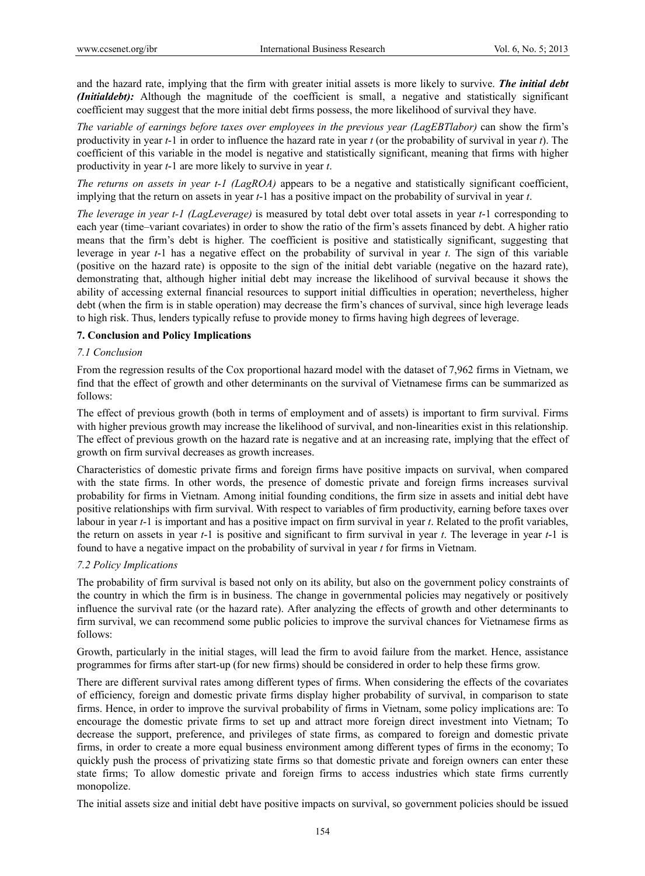and the hazard rate, implying that the firm with greater initial assets is more likely to survive. *The initial debt (Initialdebt):* Although the magnitude of the coefficient is small, a negative and statistically significant coefficient may suggest that the more initial debt firms possess, the more likelihood of survival they have.

*The variable of earnings before taxes over employees in the previous year (LagEBTlabor)* can show the firm's productivity in year *t*-1 in order to influence the hazard rate in year *t* (or the probability of survival in year *t*). The coefficient of this variable in the model is negative and statistically significant, meaning that firms with higher productivity in year *t*-1 are more likely to survive in year *t*.

*The returns on assets in year t-1 (LagROA)* appears to be a negative and statistically significant coefficient, implying that the return on assets in year *t*-1 has a positive impact on the probability of survival in year *t*.

*The leverage in year t-1 (LagLeverage)* is measured by total debt over total assets in year *t*-1 corresponding to each year (time–variant covariates) in order to show the ratio of the firm's assets financed by debt. A higher ratio means that the firm's debt is higher. The coefficient is positive and statistically significant, suggesting that leverage in year *t*-1 has a negative effect on the probability of survival in year *t*. The sign of this variable (positive on the hazard rate) is opposite to the sign of the initial debt variable (negative on the hazard rate), demonstrating that, although higher initial debt may increase the likelihood of survival because it shows the ability of accessing external financial resources to support initial difficulties in operation; nevertheless, higher debt (when the firm is in stable operation) may decrease the firm's chances of survival, since high leverage leads to high risk. Thus, lenders typically refuse to provide money to firms having high degrees of leverage.

## **7. Conclusion and Policy Implications**

## *7.1 Conclusion*

From the regression results of the Cox proportional hazard model with the dataset of 7,962 firms in Vietnam, we find that the effect of growth and other determinants on the survival of Vietnamese firms can be summarized as follows:

The effect of previous growth (both in terms of employment and of assets) is important to firm survival. Firms with higher previous growth may increase the likelihood of survival, and non-linearities exist in this relationship. The effect of previous growth on the hazard rate is negative and at an increasing rate, implying that the effect of growth on firm survival decreases as growth increases.

Characteristics of domestic private firms and foreign firms have positive impacts on survival, when compared with the state firms. In other words, the presence of domestic private and foreign firms increases survival probability for firms in Vietnam. Among initial founding conditions, the firm size in assets and initial debt have positive relationships with firm survival. With respect to variables of firm productivity, earning before taxes over labour in year *t*-1 is important and has a positive impact on firm survival in year *t*. Related to the profit variables, the return on assets in year *t*-1 is positive and significant to firm survival in year *t*. The leverage in year *t*-1 is found to have a negative impact on the probability of survival in year *t* for firms in Vietnam.

## *7.2 Policy Implications*

The probability of firm survival is based not only on its ability, but also on the government policy constraints of the country in which the firm is in business. The change in governmental policies may negatively or positively influence the survival rate (or the hazard rate). After analyzing the effects of growth and other determinants to firm survival, we can recommend some public policies to improve the survival chances for Vietnamese firms as follows:

Growth, particularly in the initial stages, will lead the firm to avoid failure from the market. Hence, assistance programmes for firms after start-up (for new firms) should be considered in order to help these firms grow.

There are different survival rates among different types of firms. When considering the effects of the covariates of efficiency, foreign and domestic private firms display higher probability of survival, in comparison to state firms. Hence, in order to improve the survival probability of firms in Vietnam, some policy implications are: To encourage the domestic private firms to set up and attract more foreign direct investment into Vietnam; To decrease the support, preference, and privileges of state firms, as compared to foreign and domestic private firms, in order to create a more equal business environment among different types of firms in the economy; To quickly push the process of privatizing state firms so that domestic private and foreign owners can enter these state firms; To allow domestic private and foreign firms to access industries which state firms currently monopolize.

The initial assets size and initial debt have positive impacts on survival, so government policies should be issued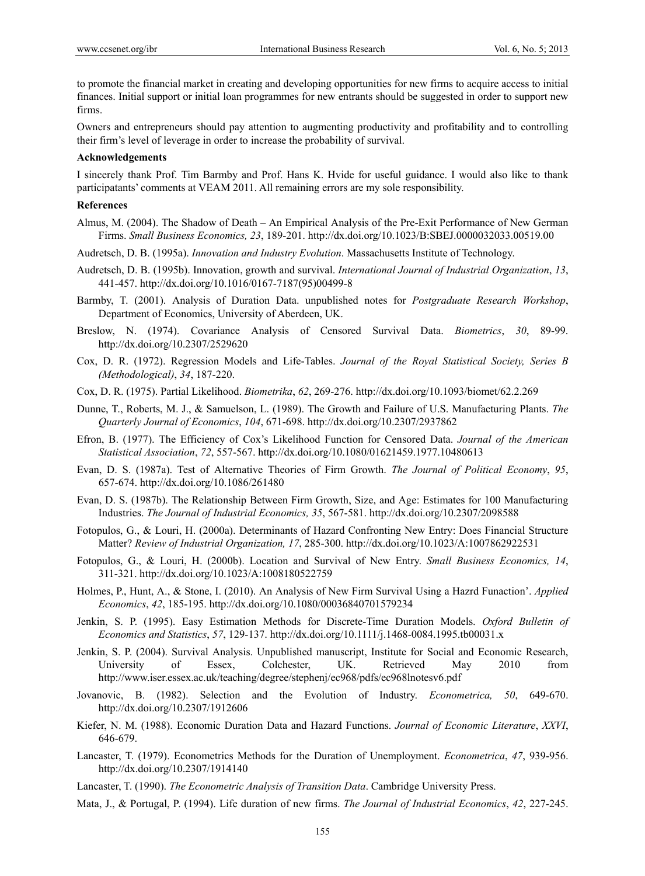to promote the financial market in creating and developing opportunities for new firms to acquire access to initial finances. Initial support or initial loan programmes for new entrants should be suggested in order to support new firms.

Owners and entrepreneurs should pay attention to augmenting productivity and profitability and to controlling their firm's level of leverage in order to increase the probability of survival.

### **Acknowledgements**

I sincerely thank Prof. Tim Barmby and Prof. Hans K. Hvide for useful guidance. I would also like to thank participatants' comments at VEAM 2011. All remaining errors are my sole responsibility.

#### **References**

- Almus, M. (2004). The Shadow of Death An Empirical Analysis of the Pre-Exit Performance of New German Firms. *Small Business Economics, 23*, 189-201. http://dx.doi.org/10.1023/B:SBEJ.0000032033.00519.00
- Audretsch, D. B. (1995a). *Innovation and Industry Evolution*. Massachusetts Institute of Technology.
- Audretsch, D. B. (1995b). Innovation, growth and survival. *International Journal of Industrial Organization*, *13*, 441-457. http://dx.doi.org/10.1016/0167-7187(95)00499-8
- Barmby, T. (2001). Analysis of Duration Data. unpublished notes for *Postgraduate Research Workshop*, Department of Economics, University of Aberdeen, UK.
- Breslow, N. (1974). Covariance Analysis of Censored Survival Data. *Biometrics*, *30*, 89-99. http://dx.doi.org/10.2307/2529620
- Cox, D. R. (1972). Regression Models and Life-Tables. *Journal of the Royal Statistical Society, Series B (Methodological)*, *34*, 187-220.
- Cox, D. R. (1975). Partial Likelihood. *Biometrika*, *62*, 269-276. http://dx.doi.org/10.1093/biomet/62.2.269
- Dunne, T., Roberts, M. J., & Samuelson, L. (1989). The Growth and Failure of U.S. Manufacturing Plants. *The Quarterly Journal of Economics*, *104*, 671-698. http://dx.doi.org/10.2307/2937862
- Efron, B. (1977). The Efficiency of Cox's Likelihood Function for Censored Data. *Journal of the American Statistical Association*, *72*, 557-567. http://dx.doi.org/10.1080/01621459.1977.10480613
- Evan, D. S. (1987a). Test of Alternative Theories of Firm Growth. *The Journal of Political Economy*, *95*, 657-674. http://dx.doi.org/10.1086/261480
- Evan, D. S. (1987b). The Relationship Between Firm Growth, Size, and Age: Estimates for 100 Manufacturing Industries. *The Journal of Industrial Economics, 35*, 567-581. http://dx.doi.org/10.2307/2098588
- Fotopulos, G., & Louri, H. (2000a). Determinants of Hazard Confronting New Entry: Does Financial Structure Matter? *Review of Industrial Organization, 17*, 285-300. http://dx.doi.org/10.1023/A:1007862922531
- Fotopulos, G., & Louri, H. (2000b). Location and Survival of New Entry. *Small Business Economics, 14*, 311-321. http://dx.doi.org/10.1023/A:1008180522759
- Holmes, P., Hunt, A., & Stone, I. (2010). An Analysis of New Firm Survival Using a Hazrd Funaction'. *Applied Economics*, *42*, 185-195. http://dx.doi.org/10.1080/00036840701579234
- Jenkin, S. P. (1995). Easy Estimation Methods for Discrete-Time Duration Models. *Oxford Bulletin of Economics and Statistics*, *57*, 129-137. http://dx.doi.org/10.1111/j.1468-0084.1995.tb00031.x
- Jenkin, S. P. (2004). Survival Analysis. Unpublished manuscript, Institute for Social and Economic Research, University of Essex, Colchester, UK. Retrieved May 2010 from http://www.iser.essex.ac.uk/teaching/degree/stephenj/ec968/pdfs/ec968lnotesv6.pdf
- Jovanovic, B. (1982). Selection and the Evolution of Industry. *Econometrica, 50*, 649-670. http://dx.doi.org/10.2307/1912606
- Kiefer, N. M. (1988). Economic Duration Data and Hazard Functions. *Journal of Economic Literature*, *XXVI*, 646-679.
- Lancaster, T. (1979). Econometrics Methods for the Duration of Unemployment. *Econometrica*, *47*, 939-956. http://dx.doi.org/10.2307/1914140
- Lancaster, T. (1990). *The Econometric Analysis of Transition Data*. Cambridge University Press.
- Mata, J., & Portugal, P. (1994). Life duration of new firms. *The Journal of Industrial Economics*, *42*, 227-245.